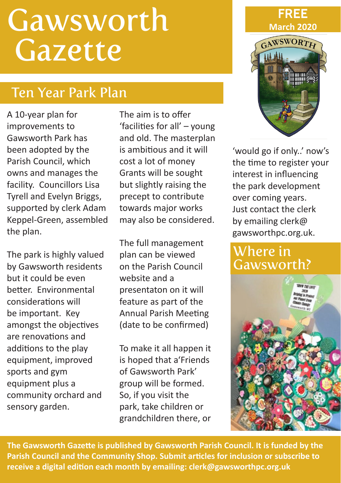# **Gawsworth** Gazette

# Ten Year Park Plan

A 10-year plan for improvements to Gawsworth Park has been adopted by the Parish Council, which owns and manages the facility. Councillors Lisa Tyrell and Evelyn Briggs, supported by clerk Adam Keppel-Green, assembled the plan.

The park is highly valued by Gawsworth residents but it could be even better. Environmental considerations will be important. Key amongst the objectives are renovations and additions to the play equipment, improved sports and gym equipment plus a community orchard and sensory garden.

The aim is to offer 'facilities for all' – young and old. The masterplan is ambitious and it will cost a lot of money Grants will be sought but slightly raising the precept to contribute towards major works may also be considered.

The full management plan can be viewed on the Parish Council website and a presentaton on it will feature as part of the Annual Parish Meeting (date to be confirmed)

To make it all happen it is hoped that a'Friends of Gawsworth Park' group will be formed. So, if you visit the park, take children or grandchildren there, or



'would go if only..' now's the time to register your interest in influencing the park development over coming years. Just contact the clerk by emailing clerk@ gawsworthpc.org.uk.

#### Where in Gawsworth?



**The Gawsworth Gazette is published by Gawsworth Parish Council. It is funded by the Parish Council and the Community Shop. Submit articles for inclusion or subscribe to receive a digital edition each month by emailing: clerk@gawsworthpc.org.uk**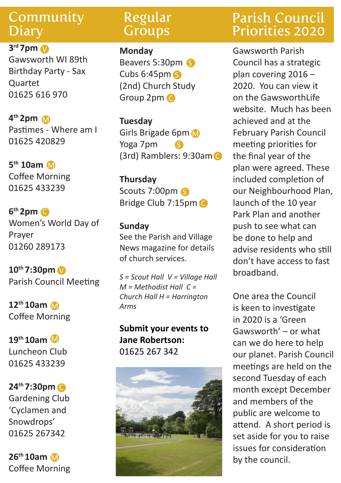#### **Community Diary**

**3rd 7pm** V Gawsworth WI 89th Birthday Party - Sax Quartet 01625 616 970

**4th 2pm** M Pastimes - Where am I 01625 420829

**5th 10am** M Coffee Morning 01625 433239

**6th 2pm** C Women's World Day of Prayer 01260 289173

**10th 7:30pm** V Parish Council Meeting

**12th 10am** M Coffee Morning

**19th 10am** M Luncheon Club 01625 433239

**24th 7:30pm** C Gardening Club 'Cyclamen and Snowdrops' 01625 267342

**26th 10am** M Coffee Morning

#### Regular **Groups**

**Monday** Beavers 5:30pm S Cubs 6:45pm S (2nd) Church Study Group 2pm C

**Tuesday** Girls Brigade 6pm Yoga 7pm (3rd) Ramblers: 9:30am C S

**Thursday** Scouts 7:00pm S Bridge Club 7:15pm C

**Sunday** See the Parish and Village News magazine for details of church services.

*S = Scout Hall V = Village Hall M = Methodist Hall C = Church Hall H = Harrington Arms*

**Submit your events to Jane Robertson:**  01625 267 342



### Parish Council Priorities 2020

Gawsworth Parish Council has a strategic plan covering 2016 – 2020. You can view it on the GawsworthLife website. Much has been achieved and at the February Parish Council meeting priorities for the final year of the plan were agreed. These included completion of our Neighbourhood Plan, launch of the 10 year Park Plan and another push to see what can be done to help and advise residents who still don't have access to fast broadband.

One area the Council is keen to investigate in 2020 is a 'Green Gawsworth' – or what can we do here to help our planet. Parish Council meetings are held on the second Tuesday of each month except December and members of the public are welcome to attend. A short period is set aside for you to raise issues for consideration by the council.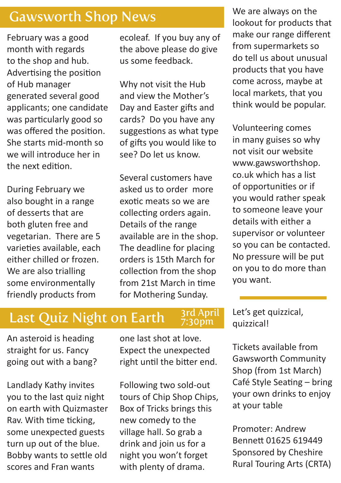#### Gawsworth Shop News

February was a good month with regards to the shop and hub. Advertising the position of Hub manager generated several good applicants; one candidate was particularly good so was offered the position. She starts mid-month so we will introduce her in the next edition.

During February we also bought in a range of desserts that are both gluten free and vegetarian. There are 5 varieties available, each either chilled or frozen. We are also trialling some environmentally friendly products from

ecoleaf. If you buy any of the above please do give us some feedback.

Why not visit the Hub and view the Mother's Day and Easter gifts and cards? Do you have any suggestions as what type of gifts you would like to see? Do let us know.

Several customers have asked us to order more exotic meats so we are collecting orders again. Details of the range available are in the shop. The deadline for placing orders is 15th March for collection from the shop from 21st March in time for Mothering Sunday.

We are always on the lookout for products that make our range different from supermarkets so do tell us about unusual products that you have come across, maybe at local markets, that you think would be popular.

Volunteering comes in many guises so why not visit our website www.gawsworthshop. co.uk which has a list of opportunities or if you would rather speak to someone leave your details with either a supervisor or volunteer so you can be contacted. No pressure will be put on you to do more than you want.

# Last Quiz Night on Earth

#### 3rd April 7:30pm

An asteroid is heading straight for us. Fancy going out with a bang?

Landlady Kathy invites you to the last quiz night on earth with Quizmaster Rav. With time ticking, some unexpected guests turn up out of the blue. Bobby wants to settle old scores and Fran wants

one last shot at love. Expect the unexpected right until the bitter end.

Following two sold-out tours of Chip Shop Chips, Box of Tricks brings this new comedy to the village hall. So grab a drink and join us for a night you won't forget with plenty of drama.

Let's get quizzical, quizzical!

Tickets available from Gawsworth Community Shop (from 1st March) Café Style Seating – bring your own drinks to enjoy at your table

Promoter: Andrew Bennett 01625 619449 Sponsored by Cheshire Rural Touring Arts (CRTA)